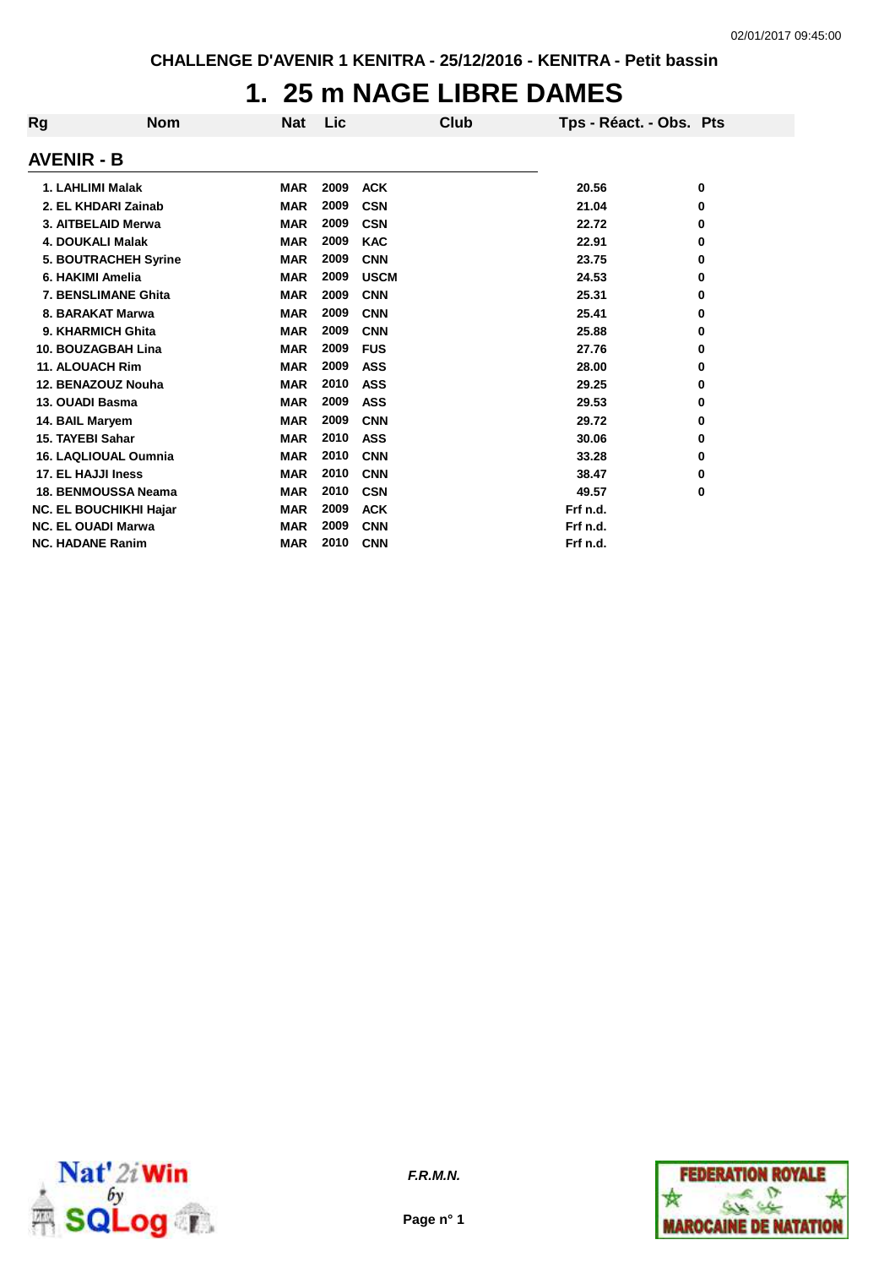## **1. 25 m NAGE LIBRE DAMES**

| Rg | <b>Nom</b>                    | Nat        | Lic  | Club        | Tps - Réact. - Obs. Pts |   |
|----|-------------------------------|------------|------|-------------|-------------------------|---|
|    | <b>AVENIR - B</b>             |            |      |             |                         |   |
|    | 1. LAHLIMI Malak              | <b>MAR</b> | 2009 | <b>ACK</b>  | 20.56                   | 0 |
|    | 2. EL KHDARI Zainab           | <b>MAR</b> | 2009 | <b>CSN</b>  | 21.04                   | 0 |
|    | 3. AITBELAID Merwa            | <b>MAR</b> | 2009 | <b>CSN</b>  | 22.72                   | 0 |
|    | <b>4. DOUKALI Malak</b>       | <b>MAR</b> | 2009 | <b>KAC</b>  | 22.91                   | 0 |
|    | 5. BOUTRACHEH Syrine          | <b>MAR</b> | 2009 | <b>CNN</b>  | 23.75                   | 0 |
|    | 6. HAKIMI Amelia              | <b>MAR</b> | 2009 | <b>USCM</b> | 24.53                   | 0 |
|    | 7. BENSLIMANE Ghita           | <b>MAR</b> | 2009 | <b>CNN</b>  | 25.31                   | 0 |
|    | 8. BARAKAT Marwa              | <b>MAR</b> | 2009 | <b>CNN</b>  | 25.41                   | 0 |
|    | 9. KHARMICH Ghita             | <b>MAR</b> | 2009 | <b>CNN</b>  | 25.88                   | 0 |
|    | 10. BOUZAGBAH Lina            | <b>MAR</b> | 2009 | <b>FUS</b>  | 27.76                   | 0 |
|    | <b>11. ALOUACH Rim</b>        | <b>MAR</b> | 2009 | <b>ASS</b>  | 28.00                   | 0 |
|    | 12. BENAZOUZ Nouha            | <b>MAR</b> | 2010 | <b>ASS</b>  | 29.25                   | 0 |
|    | 13. OUADI Basma               | <b>MAR</b> | 2009 | <b>ASS</b>  | 29.53                   | 0 |
|    | 14. BAIL Maryem               | <b>MAR</b> | 2009 | <b>CNN</b>  | 29.72                   | 0 |
|    | 15. TAYEBI Sahar              | <b>MAR</b> | 2010 | <b>ASS</b>  | 30.06                   | 0 |
|    | <b>16. LAQLIOUAL Oumnia</b>   | <b>MAR</b> | 2010 | <b>CNN</b>  | 33.28                   | 0 |
|    | 17. EL HAJJI Iness            | <b>MAR</b> | 2010 | <b>CNN</b>  | 38.47                   | 0 |
|    | <b>18. BENMOUSSA Neama</b>    | <b>MAR</b> | 2010 | <b>CSN</b>  | 49.57                   | 0 |
|    | <b>NC. EL BOUCHIKHI Hajar</b> | <b>MAR</b> | 2009 | <b>ACK</b>  | Frf n.d.                |   |
|    | <b>NC. EL OUADI Marwa</b>     | <b>MAR</b> | 2009 | <b>CNN</b>  | Frf n.d.                |   |
|    | <b>NC. HADANE Ranim</b>       | <b>MAR</b> | 2010 | <b>CNN</b>  | Frf n.d.                |   |





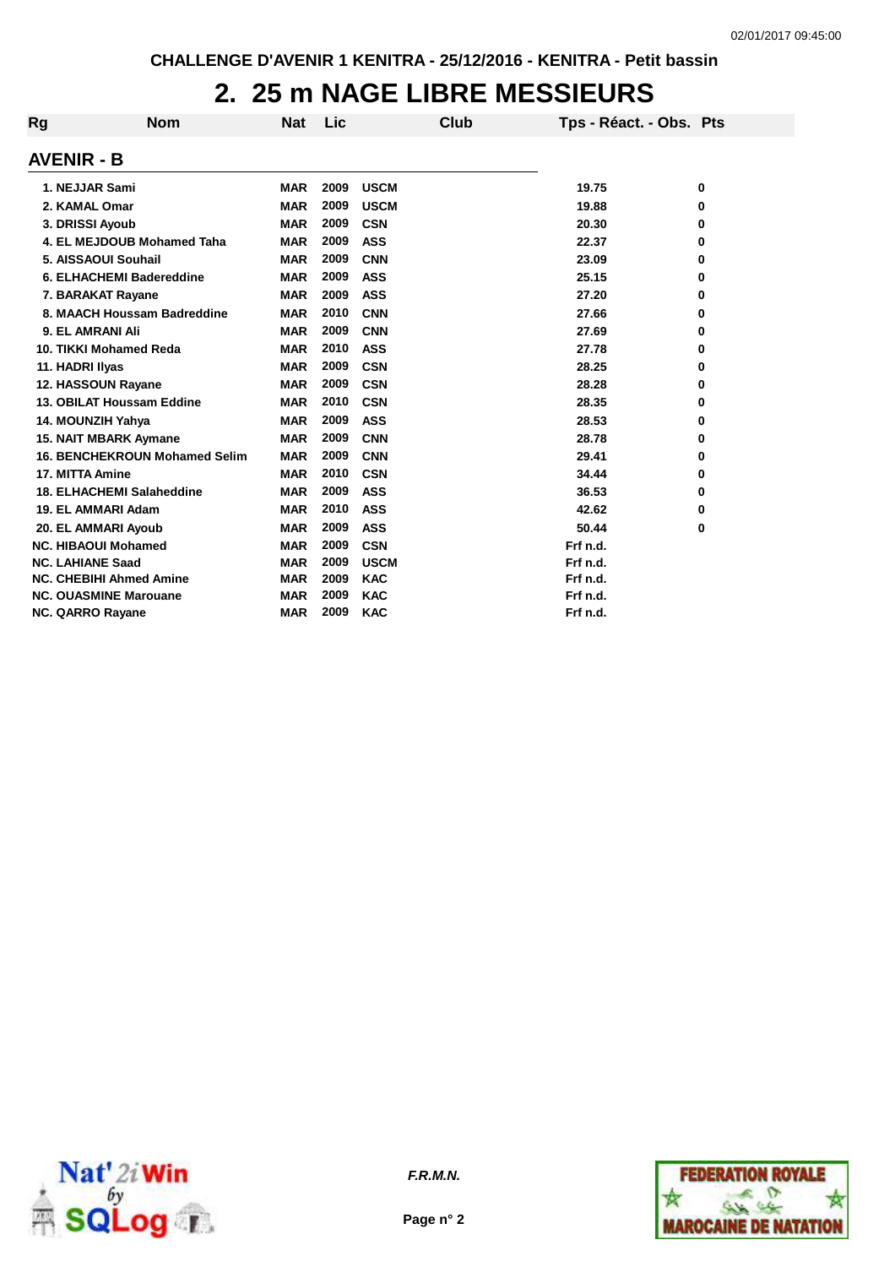## **2. 25 m NAGE LIBRE MESSIEURS**

| Rg | <b>Nom</b>                           | <b>Nat</b> | Lic  |             | Club | Tps - Réact. - Obs. Pts |   |
|----|--------------------------------------|------------|------|-------------|------|-------------------------|---|
|    | <b>AVENIR - B</b>                    |            |      |             |      |                         |   |
|    | 1. NEJJAR Sami                       | <b>MAR</b> | 2009 | <b>USCM</b> |      | 19.75                   | 0 |
|    | 2. KAMAL Omar                        | <b>MAR</b> | 2009 | <b>USCM</b> |      | 19.88                   | 0 |
|    | 3. DRISSI Ayoub                      | <b>MAR</b> | 2009 | <b>CSN</b>  |      | 20.30                   | 0 |
|    | 4. EL MEJDOUB Mohamed Taha           | <b>MAR</b> | 2009 | <b>ASS</b>  |      | 22.37                   | 0 |
|    | 5. AISSAOUI Souhail                  | <b>MAR</b> | 2009 | <b>CNN</b>  |      | 23.09                   | 0 |
|    | 6. ELHACHEMI Badereddine             | <b>MAR</b> | 2009 | <b>ASS</b>  |      | 25.15                   | 0 |
|    | 7. BARAKAT Rayane                    | <b>MAR</b> | 2009 | <b>ASS</b>  |      | 27.20                   | 0 |
|    | 8. MAACH Houssam Badreddine          | <b>MAR</b> | 2010 | <b>CNN</b>  |      | 27.66                   | 0 |
|    | 9. EL AMRANI Ali                     | <b>MAR</b> | 2009 | <b>CNN</b>  |      | 27.69                   | 0 |
|    | 10. TIKKI Mohamed Reda               | <b>MAR</b> | 2010 | <b>ASS</b>  |      | 27.78                   | 0 |
|    | 11. HADRI Ilyas                      | <b>MAR</b> | 2009 | <b>CSN</b>  |      | 28.25                   | 0 |
|    | 12. HASSOUN Rayane                   | <b>MAR</b> | 2009 | <b>CSN</b>  |      | 28.28                   | 0 |
|    | 13. OBILAT Houssam Eddine            | <b>MAR</b> | 2010 | <b>CSN</b>  |      | 28.35                   | 0 |
|    | 14. MOUNZIH Yahya                    | <b>MAR</b> | 2009 | <b>ASS</b>  |      | 28.53                   | 0 |
|    | <b>15. NAIT MBARK Aymane</b>         | <b>MAR</b> | 2009 | <b>CNN</b>  |      | 28.78                   | 0 |
|    | <b>16. BENCHEKROUN Mohamed Selim</b> | <b>MAR</b> | 2009 | <b>CNN</b>  |      | 29.41                   | 0 |
|    | 17. MITTA Amine                      | <b>MAR</b> | 2010 | <b>CSN</b>  |      | 34.44                   | 0 |
|    | <b>18. ELHACHEMI Salaheddine</b>     | <b>MAR</b> | 2009 | <b>ASS</b>  |      | 36.53                   | 0 |
|    | 19. EL AMMARI Adam                   | <b>MAR</b> | 2010 | <b>ASS</b>  |      | 42.62                   | 0 |
|    | 20. EL AMMARI Ayoub                  | <b>MAR</b> | 2009 | <b>ASS</b>  |      | 50.44                   | 0 |
|    | <b>NC. HIBAOUI Mohamed</b>           | <b>MAR</b> | 2009 | <b>CSN</b>  |      | Frf n.d.                |   |
|    | <b>NC. LAHIANE Saad</b>              | <b>MAR</b> | 2009 | <b>USCM</b> |      | Frf n.d.                |   |
|    | <b>NC. CHEBIHI Ahmed Amine</b>       | <b>MAR</b> | 2009 | <b>KAC</b>  |      | Frf n.d.                |   |
|    | <b>NC. OUASMINE Marouane</b>         | <b>MAR</b> | 2009 | <b>KAC</b>  |      | Frf n.d.                |   |
|    | <b>NC. QARRO Rayane</b>              | <b>MAR</b> | 2009 | <b>KAC</b>  |      | Frf n.d.                |   |



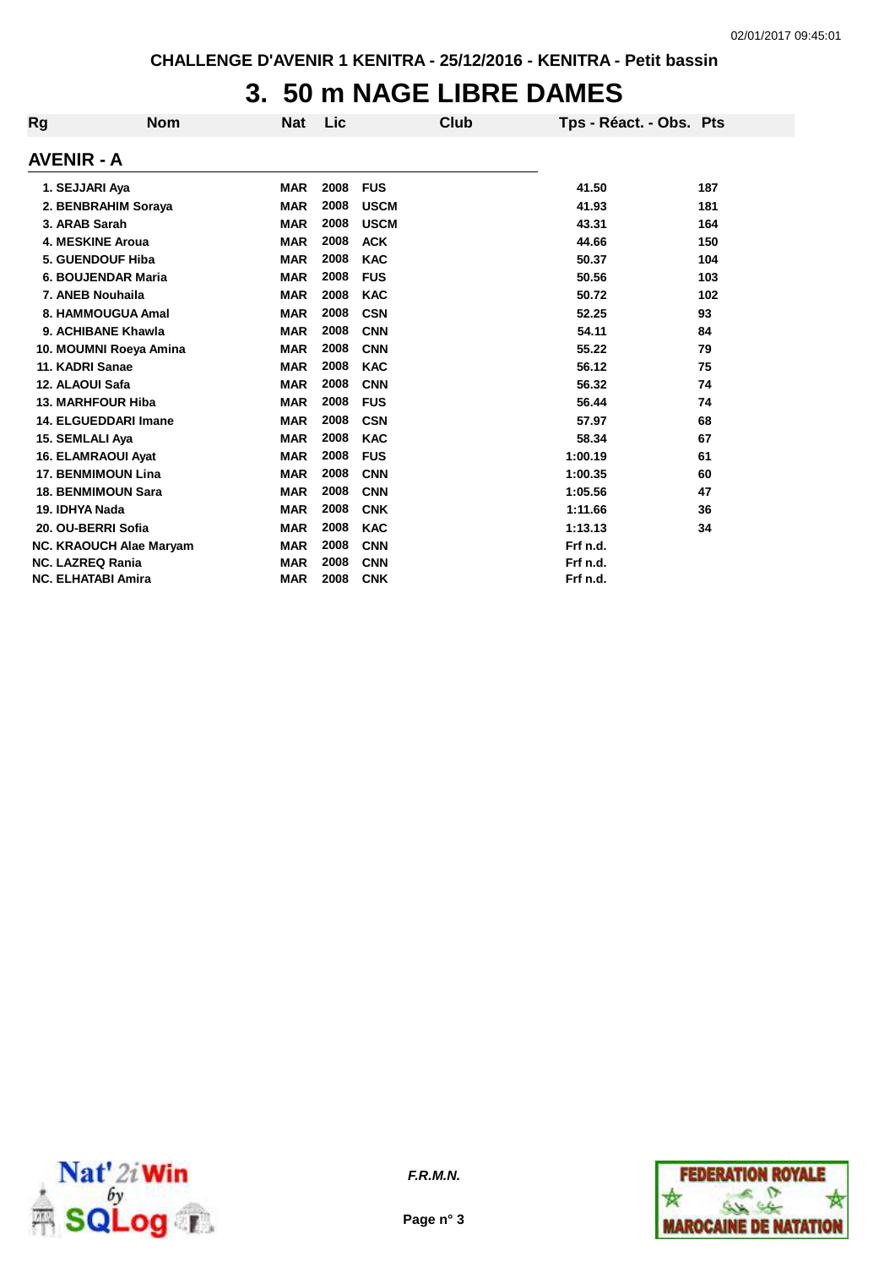## **3. 50 m NAGE LIBRE DAMES**

| Rg | <b>Nom</b>                | <b>Nat</b> | Lic  | Club        | Tps - Réact. - Obs. Pts |     |
|----|---------------------------|------------|------|-------------|-------------------------|-----|
|    | AVENIR - A                |            |      |             |                         |     |
|    | 1. SEJJARI Aya            | <b>MAR</b> | 2008 | <b>FUS</b>  | 41.50                   | 187 |
|    | 2. BENBRAHIM Soraya       | <b>MAR</b> | 2008 | <b>USCM</b> | 41.93                   | 181 |
|    | 3. ARAB Sarah             | <b>MAR</b> | 2008 | <b>USCM</b> | 43.31                   | 164 |
|    | 4. MESKINE Aroua          | <b>MAR</b> | 2008 | <b>ACK</b>  | 44.66                   | 150 |
|    | <b>5. GUENDOUF Hiba</b>   | <b>MAR</b> | 2008 | <b>KAC</b>  | 50.37                   | 104 |
|    | 6. BOUJENDAR Maria        | <b>MAR</b> | 2008 | <b>FUS</b>  | 50.56                   | 103 |
|    | 7. ANEB Nouhaila          | <b>MAR</b> | 2008 | <b>KAC</b>  | 50.72                   | 102 |
|    | 8. HAMMOUGUA Amal         | <b>MAR</b> | 2008 | <b>CSN</b>  | 52.25                   | 93  |
|    | 9. ACHIBANE Khawla        | <b>MAR</b> | 2008 | <b>CNN</b>  | 54.11                   | 84  |
|    | 10. MOUMNI Roeya Amina    | <b>MAR</b> | 2008 | <b>CNN</b>  | 55.22                   | 79  |
|    | 11. KADRI Sanae           | <b>MAR</b> | 2008 | <b>KAC</b>  | 56.12                   | 75  |
|    | 12. ALAOUI Safa           | <b>MAR</b> | 2008 | <b>CNN</b>  | 56.32                   | 74  |
|    | <b>13. MARHFOUR Hiba</b>  | <b>MAR</b> | 2008 | <b>FUS</b>  | 56.44                   | 74  |
|    | 14. ELGUEDDARI Imane      | <b>MAR</b> | 2008 | <b>CSN</b>  | 57.97                   | 68  |
|    | 15. SEMLALI Aya           | <b>MAR</b> | 2008 | <b>KAC</b>  | 58.34                   | 67  |
|    | <b>16. ELAMRAOUI Ayat</b> | <b>MAR</b> | 2008 | <b>FUS</b>  | 1:00.19                 | 61  |
|    | <b>17. BENMIMOUN Lina</b> | <b>MAR</b> | 2008 | <b>CNN</b>  | 1:00.35                 | 60  |
|    | <b>18. BENMIMOUN Sara</b> | <b>MAR</b> | 2008 | <b>CNN</b>  | 1:05.56                 | 47  |
|    | 19. IDHYA Nada            | <b>MAR</b> | 2008 | <b>CNK</b>  | 1:11.66                 | 36  |
|    | 20. OU-BERRI Sofia        | <b>MAR</b> | 2008 | <b>KAC</b>  | 1:13.13                 | 34  |
|    | NC. KRAOUCH Alae Maryam   | <b>MAR</b> | 2008 | <b>CNN</b>  | Frf n.d.                |     |
|    | <b>NC. LAZREQ Rania</b>   | <b>MAR</b> | 2008 | <b>CNN</b>  | Frf n.d.                |     |
|    | <b>NC. ELHATABI Amira</b> | <b>MAR</b> | 2008 | <b>CNK</b>  | Frf n.d.                |     |



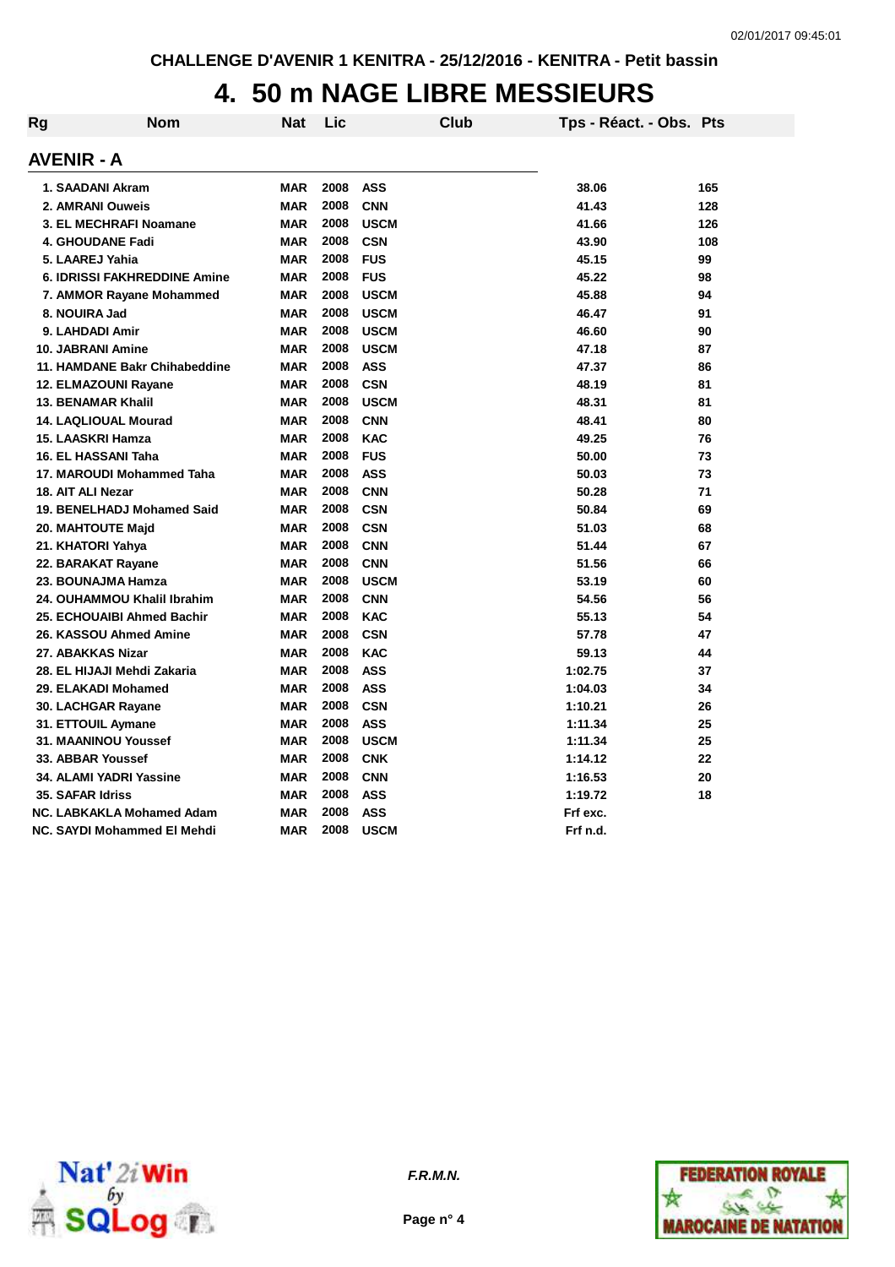## **4. 50 m NAGE LIBRE MESSIEURS**

| Rg | <b>Nom</b>                          | Nat        | Lic  |             | Club | Tps - Réact. - Obs. Pts |     |
|----|-------------------------------------|------------|------|-------------|------|-------------------------|-----|
|    | AVENIR - A                          |            |      |             |      |                         |     |
|    | 1. SAADANI Akram                    | <b>MAR</b> | 2008 | <b>ASS</b>  |      | 38.06                   | 165 |
|    | 2. AMRANI Ouweis                    | MAR        | 2008 | <b>CNN</b>  |      | 41.43                   | 128 |
|    | 3. EL MECHRAFI Noamane              | <b>MAR</b> | 2008 | <b>USCM</b> |      | 41.66                   | 126 |
|    | <b>4. GHOUDANE Fadi</b>             | <b>MAR</b> | 2008 | <b>CSN</b>  |      | 43.90                   | 108 |
|    | 5. LAAREJ Yahia                     | <b>MAR</b> | 2008 | <b>FUS</b>  |      | 45.15                   | 99  |
|    | <b>6. IDRISSI FAKHREDDINE Amine</b> | <b>MAR</b> | 2008 | <b>FUS</b>  |      | 45.22                   | 98  |
|    | 7. AMMOR Rayane Mohammed            | <b>MAR</b> | 2008 | <b>USCM</b> |      | 45.88                   | 94  |
|    | 8. NOUIRA Jad                       | MAR        | 2008 | <b>USCM</b> |      | 46.47                   | 91  |
|    | 9. LAHDADI Amir                     | <b>MAR</b> | 2008 | <b>USCM</b> |      | 46.60                   | 90  |
|    | <b>10. JABRANI Amine</b>            | <b>MAR</b> | 2008 | <b>USCM</b> |      | 47.18                   | 87  |
|    | 11. HAMDANE Bakr Chihabeddine       | <b>MAR</b> | 2008 | <b>ASS</b>  |      | 47.37                   | 86  |
|    | 12. ELMAZOUNI Rayane                | <b>MAR</b> | 2008 | <b>CSN</b>  |      | 48.19                   | 81  |
|    | <b>13. BENAMAR Khalil</b>           | <b>MAR</b> | 2008 | <b>USCM</b> |      | 48.31                   | 81  |
|    | <b>14. LAQLIOUAL Mourad</b>         | <b>MAR</b> | 2008 | <b>CNN</b>  |      | 48.41                   | 80  |
|    | 15. LAASKRI Hamza                   | <b>MAR</b> | 2008 | <b>KAC</b>  |      | 49.25                   | 76  |
|    | 16. EL HASSANI Taha                 | <b>MAR</b> | 2008 | <b>FUS</b>  |      | 50.00                   | 73  |
|    | 17. MAROUDI Mohammed Taha           | <b>MAR</b> | 2008 | <b>ASS</b>  |      | 50.03                   | 73  |
|    | 18. AIT ALI Nezar                   | <b>MAR</b> | 2008 | <b>CNN</b>  |      | 50.28                   | 71  |
|    | 19. BENELHADJ Mohamed Said          | <b>MAR</b> | 2008 | <b>CSN</b>  |      | 50.84                   | 69  |
|    | 20. MAHTOUTE Majd                   | <b>MAR</b> | 2008 | <b>CSN</b>  |      | 51.03                   | 68  |
|    | 21. KHATORI Yahya                   | <b>MAR</b> | 2008 | <b>CNN</b>  |      | 51.44                   | 67  |
|    | 22. BARAKAT Rayane                  | <b>MAR</b> | 2008 | <b>CNN</b>  |      | 51.56                   | 66  |
|    | 23. BOUNAJMA Hamza                  | <b>MAR</b> | 2008 | <b>USCM</b> |      | 53.19                   | 60  |
|    | 24. OUHAMMOU Khalil Ibrahim         | <b>MAR</b> | 2008 | <b>CNN</b>  |      | 54.56                   | 56  |
|    | 25. ECHOUAIBI Ahmed Bachir          | <b>MAR</b> | 2008 | <b>KAC</b>  |      | 55.13                   | 54  |
|    | 26. KASSOU Ahmed Amine              | <b>MAR</b> | 2008 | <b>CSN</b>  |      | 57.78                   | 47  |
|    | 27. ABAKKAS Nizar                   | <b>MAR</b> | 2008 | <b>KAC</b>  |      | 59.13                   | 44  |
|    | 28. EL HIJAJI Mehdi Zakaria         | <b>MAR</b> | 2008 | <b>ASS</b>  |      | 1:02.75                 | 37  |
|    | 29. ELAKADI Mohamed                 | <b>MAR</b> | 2008 | <b>ASS</b>  |      | 1:04.03                 | 34  |
|    | 30. LACHGAR Rayane                  | <b>MAR</b> | 2008 | <b>CSN</b>  |      | 1:10.21                 | 26  |
|    | 31. ETTOUIL Aymane                  | <b>MAR</b> | 2008 | <b>ASS</b>  |      | 1:11.34                 | 25  |
|    | 31. MAANINOU Youssef                | <b>MAR</b> | 2008 | <b>USCM</b> |      | 1:11.34                 | 25  |
|    | 33. ABBAR Youssef                   | <b>MAR</b> | 2008 | <b>CNK</b>  |      | 1:14.12                 | 22  |
|    | 34. ALAMI YADRI Yassine             | <b>MAR</b> | 2008 | <b>CNN</b>  |      | 1:16.53                 | 20  |
|    | <b>35. SAFAR Idriss</b>             | <b>MAR</b> | 2008 | <b>ASS</b>  |      | 1:19.72                 | 18  |
|    | NC. LABKAKLA Mohamed Adam           | <b>MAR</b> | 2008 | <b>ASS</b>  |      | Frf exc.                |     |
|    | NC. SAYDI Mohammed El Mehdi         | MAR        | 2008 | <b>USCM</b> |      | Frf n.d.                |     |





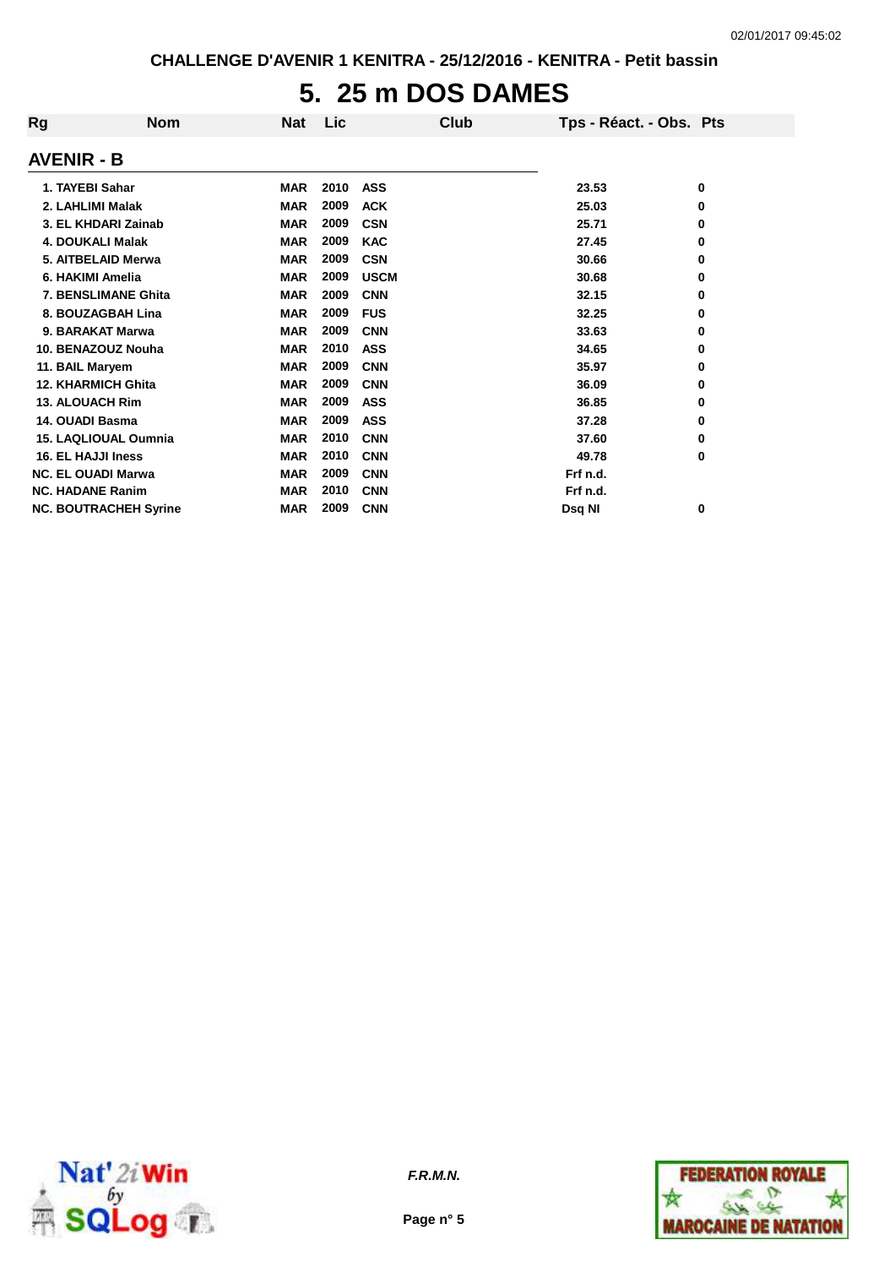# **5. 25 m DOS DAMES**

| Rg                        | <b>Nom</b>                   | <b>Nat</b> | Lic  |             | Club | Tps - Réact. - Obs. Pts |   |
|---------------------------|------------------------------|------------|------|-------------|------|-------------------------|---|
| AVENIR - B                |                              |            |      |             |      |                         |   |
| 1. TAYEBI Sahar           |                              | <b>MAR</b> | 2010 | <b>ASS</b>  |      | 23.53                   | 0 |
| 2. LAHLIMI Malak          |                              | <b>MAR</b> | 2009 | <b>ACK</b>  |      | 25.03                   | 0 |
|                           | 3. EL KHDARI Zainab          | <b>MAR</b> | 2009 | <b>CSN</b>  |      | 25.71                   | 0 |
| 4. DOUKALI Malak          |                              | <b>MAR</b> | 2009 | <b>KAC</b>  |      | 27.45                   | 0 |
|                           | 5. AITBELAID Merwa           | <b>MAR</b> | 2009 | <b>CSN</b>  |      | 30.66                   | 0 |
| 6. HAKIMI Amelia          |                              | <b>MAR</b> | 2009 | <b>USCM</b> |      | 30.68                   | 0 |
|                           | 7. BENSLIMANE Ghita          | <b>MAR</b> | 2009 | <b>CNN</b>  |      | 32.15                   | 0 |
|                           | 8. BOUZAGBAH Lina            | <b>MAR</b> | 2009 | <b>FUS</b>  |      | 32.25                   | 0 |
| 9. BARAKAT Marwa          |                              | <b>MAR</b> | 2009 | <b>CNN</b>  |      | 33.63                   | 0 |
|                           | 10. BENAZOUZ Nouha           | <b>MAR</b> | 2010 | <b>ASS</b>  |      | 34.65                   | 0 |
| 11. BAIL Maryem           |                              | <b>MAR</b> | 2009 | <b>CNN</b>  |      | 35.97                   | 0 |
| <b>12. KHARMICH Ghita</b> |                              | <b>MAR</b> | 2009 | <b>CNN</b>  |      | 36.09                   | 0 |
| <b>13. ALOUACH Rim</b>    |                              | <b>MAR</b> | 2009 | <b>ASS</b>  |      | 36.85                   | 0 |
| 14. OUADI Basma           |                              | <b>MAR</b> | 2009 | <b>ASS</b>  |      | 37.28                   | 0 |
|                           | <b>15. LAQLIOUAL Oumnia</b>  | <b>MAR</b> | 2010 | <b>CNN</b>  |      | 37.60                   | 0 |
| 16. EL HAJJI Iness        |                              | <b>MAR</b> | 2010 | <b>CNN</b>  |      | 49.78                   | 0 |
| <b>NC. EL OUADI Marwa</b> |                              | <b>MAR</b> | 2009 | <b>CNN</b>  |      | Frf n.d.                |   |
| <b>NC. HADANE Ranim</b>   |                              | <b>MAR</b> | 2010 | <b>CNN</b>  |      | Frf n.d.                |   |
|                           | <b>NC. BOUTRACHEH Syrine</b> | <b>MAR</b> | 2009 | <b>CNN</b>  |      | Dsq NI                  | 0 |



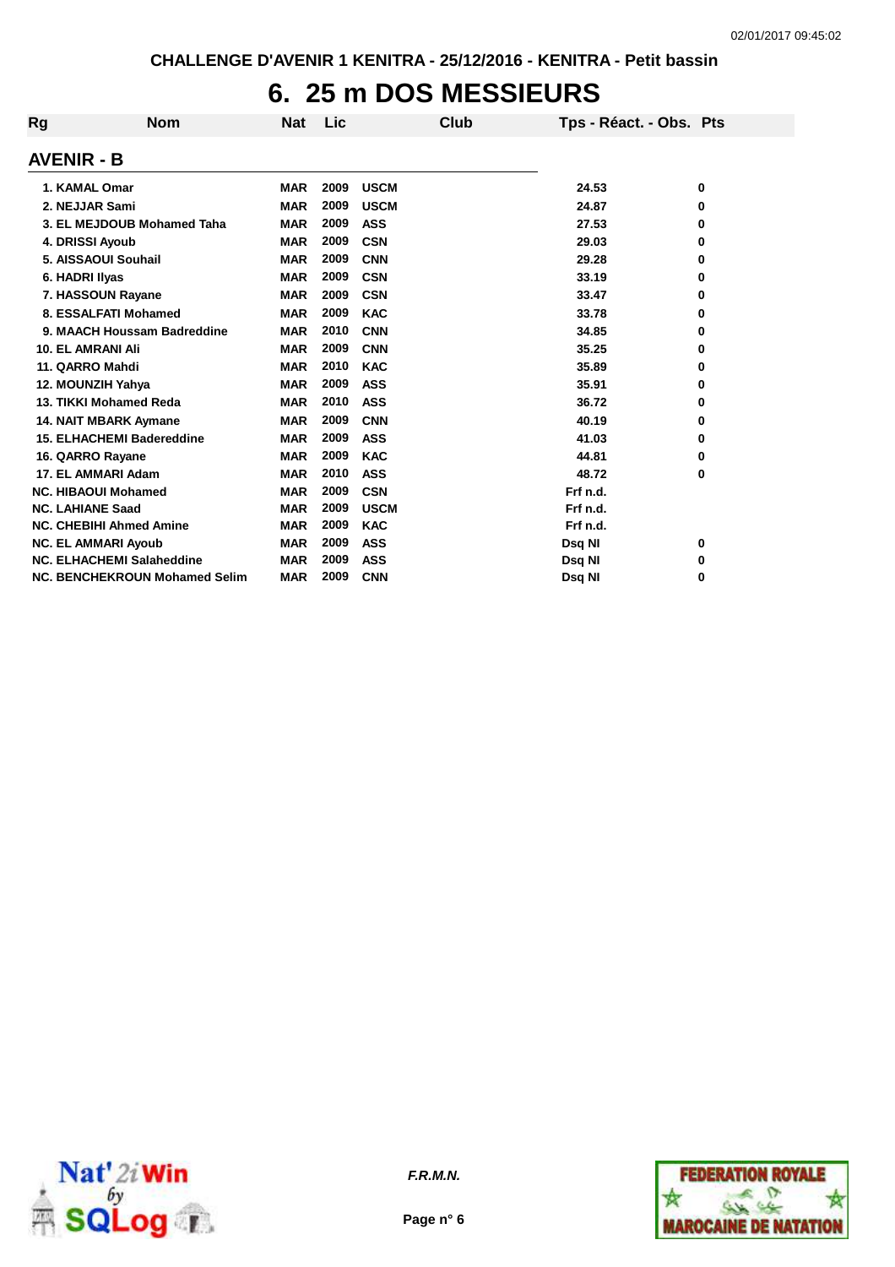## **6. 25 m DOS MESSIEURS**

| Rg                       | <b>Nom</b>                           | <b>Nat</b> | <b>Lic</b> | Club        | Tps - Réact. - Obs. Pts |   |
|--------------------------|--------------------------------------|------------|------------|-------------|-------------------------|---|
| <b>AVENIR - B</b>        |                                      |            |            |             |                         |   |
| 1. KAMAL Omar            |                                      | <b>MAR</b> | 2009       | <b>USCM</b> | 24.53                   | 0 |
| 2. NEJJAR Sami           |                                      | <b>MAR</b> | 2009       | <b>USCM</b> | 24.87                   | 0 |
|                          | 3. EL MEJDOUB Mohamed Taha           | <b>MAR</b> | 2009       | <b>ASS</b>  | 27.53                   | 0 |
| 4. DRISSI Ayoub          |                                      | <b>MAR</b> | 2009       | <b>CSN</b>  | 29.03                   | 0 |
|                          | 5. AISSAOUI Souhail                  | <b>MAR</b> | 2009       | <b>CNN</b>  | 29.28                   | 0 |
| 6. HADRI Ilyas           |                                      | <b>MAR</b> | 2009       | <b>CSN</b>  | 33.19                   | 0 |
|                          | 7. HASSOUN Rayane                    | <b>MAR</b> | 2009       | <b>CSN</b>  | 33.47                   | 0 |
|                          | 8. ESSALFATI Mohamed                 | <b>MAR</b> | 2009       | <b>KAC</b>  | 33.78                   | 0 |
|                          | 9. MAACH Houssam Badreddine          | <b>MAR</b> | 2010       | <b>CNN</b>  | 34.85                   | 0 |
| <b>10. EL AMRANI Ali</b> |                                      | <b>MAR</b> | 2009       | <b>CNN</b>  | 35.25                   | 0 |
| 11. QARRO Mahdi          |                                      | <b>MAR</b> | 2010       | <b>KAC</b>  | 35.89                   | 0 |
| 12. MOUNZIH Yahya        |                                      | <b>MAR</b> | 2009       | <b>ASS</b>  | 35.91                   | 0 |
|                          | 13. TIKKI Mohamed Reda               | <b>MAR</b> | 2010       | <b>ASS</b>  | 36.72                   | 0 |
|                          | <b>14. NAIT MBARK Aymane</b>         | <b>MAR</b> | 2009       | <b>CNN</b>  | 40.19                   | 0 |
|                          | <b>15. ELHACHEMI Badereddine</b>     | <b>MAR</b> | 2009       | <b>ASS</b>  | 41.03                   | 0 |
| 16. QARRO Rayane         |                                      | <b>MAR</b> | 2009       | <b>KAC</b>  | 44.81                   | 0 |
|                          | 17. EL AMMARI Adam                   | <b>MAR</b> | 2010       | <b>ASS</b>  | 48.72                   | 0 |
|                          | <b>NC. HIBAOUI Mohamed</b>           | <b>MAR</b> | 2009       | <b>CSN</b>  | Frf n.d.                |   |
| <b>NC. LAHIANE Saad</b>  |                                      | <b>MAR</b> | 2009       | <b>USCM</b> | Frf n.d.                |   |
|                          | <b>NC. CHEBIHI Ahmed Amine</b>       | <b>MAR</b> | 2009       | <b>KAC</b>  | Frf n.d.                |   |
|                          | <b>NC. EL AMMARI Ayoub</b>           | <b>MAR</b> | 2009       | <b>ASS</b>  | Dsq NI                  | 0 |
|                          | NC. ELHACHEMI Salaheddine            | <b>MAR</b> | 2009       | <b>ASS</b>  | Dsq NI                  | 0 |
|                          | <b>NC. BENCHEKROUN Mohamed Selim</b> | <b>MAR</b> | 2009       | <b>CNN</b>  | Dsq NI                  | 0 |



**Page n° 6**

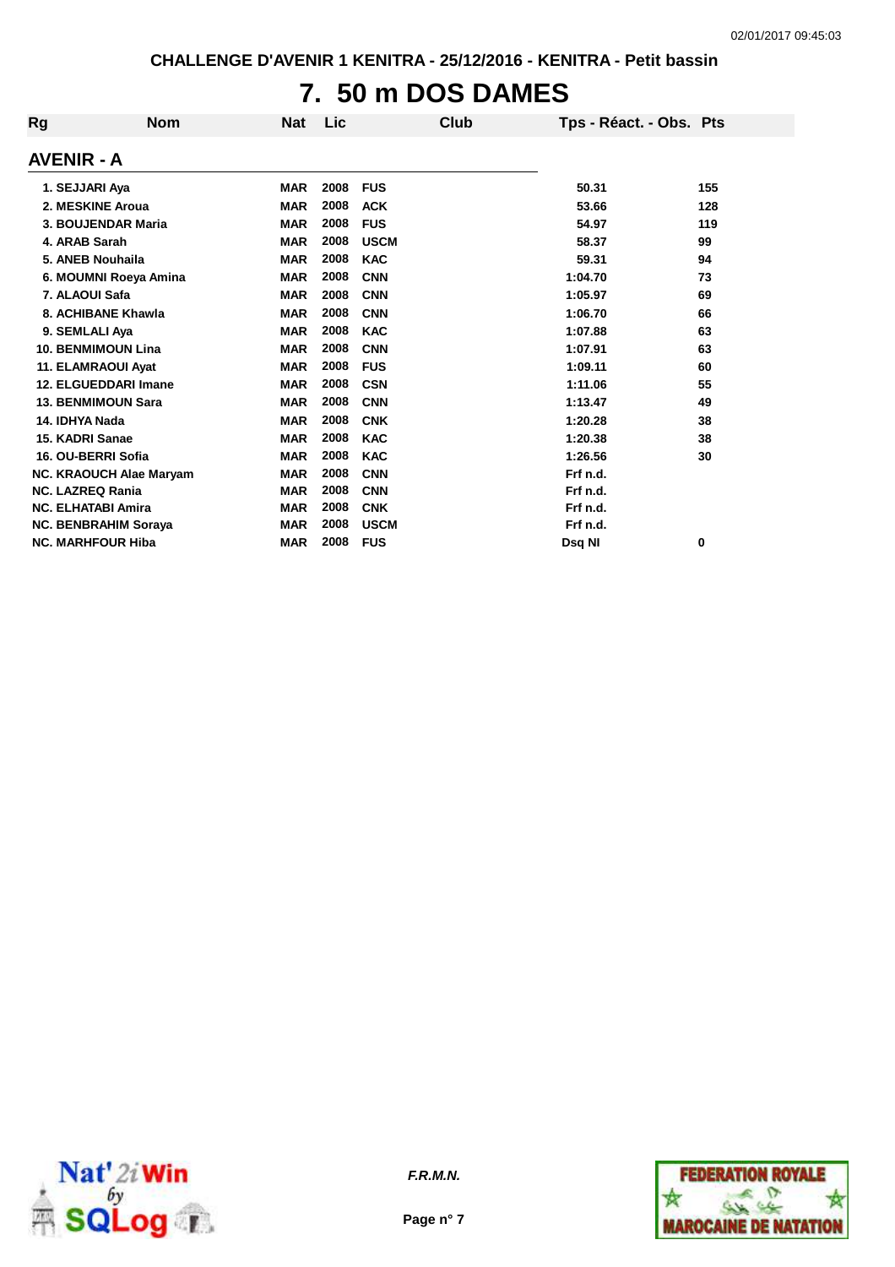# **7. 50 m DOS DAMES**

| Rg                          | <b>Nom</b>                     | <b>Nat</b> | Lic  | Club        | Tps - Réact. - Obs. Pts |     |
|-----------------------------|--------------------------------|------------|------|-------------|-------------------------|-----|
| <b>AVENIR - A</b>           |                                |            |      |             |                         |     |
| 1. SEJJARI Aya              |                                | <b>MAR</b> | 2008 | <b>FUS</b>  | 50.31                   | 155 |
| 2. MESKINE Aroua            |                                | <b>MAR</b> | 2008 | <b>ACK</b>  | 53.66                   | 128 |
| 3. BOUJENDAR Maria          |                                | <b>MAR</b> | 2008 | <b>FUS</b>  | 54.97                   | 119 |
| 4. ARAB Sarah               |                                | <b>MAR</b> | 2008 | <b>USCM</b> | 58.37                   | 99  |
| 5. ANEB Nouhaila            |                                | <b>MAR</b> | 2008 | <b>KAC</b>  | 59.31                   | 94  |
|                             | 6. MOUMNI Roeya Amina          | <b>MAR</b> | 2008 | <b>CNN</b>  | 1:04.70                 | 73  |
| 7. ALAOUI Safa              |                                | <b>MAR</b> | 2008 | <b>CNN</b>  | 1:05.97                 | 69  |
| 8. ACHIBANE Khawla          |                                | <b>MAR</b> | 2008 | <b>CNN</b>  | 1:06.70                 | 66  |
| 9. SEMLALI Aya              |                                | <b>MAR</b> | 2008 | <b>KAC</b>  | 1:07.88                 | 63  |
| <b>10. BENMIMOUN Lina</b>   |                                | <b>MAR</b> | 2008 | <b>CNN</b>  | 1:07.91                 | 63  |
| 11. ELAMRAOUI Ayat          |                                | <b>MAR</b> | 2008 | <b>FUS</b>  | 1:09.11                 | 60  |
| 12. ELGUEDDARI Imane        |                                | <b>MAR</b> | 2008 | <b>CSN</b>  | 1:11.06                 | 55  |
| <b>13. BENMIMOUN Sara</b>   |                                | <b>MAR</b> | 2008 | <b>CNN</b>  | 1:13.47                 | 49  |
| 14. IDHYA Nada              |                                | <b>MAR</b> | 2008 | <b>CNK</b>  | 1:20.28                 | 38  |
| 15. KADRI Sanae             |                                | <b>MAR</b> | 2008 | <b>KAC</b>  | 1:20.38                 | 38  |
| 16. OU-BERRI Sofia          |                                | <b>MAR</b> | 2008 | <b>KAC</b>  | 1:26.56                 | 30  |
|                             | <b>NC. KRAOUCH Alae Maryam</b> | <b>MAR</b> | 2008 | <b>CNN</b>  | Frf n.d.                |     |
| <b>NC. LAZREQ Rania</b>     |                                | <b>MAR</b> | 2008 | <b>CNN</b>  | Frf n.d.                |     |
| <b>NC. ELHATABI Amira</b>   |                                | <b>MAR</b> | 2008 | <b>CNK</b>  | Frf n.d.                |     |
| <b>NC. BENBRAHIM Soraya</b> |                                | <b>MAR</b> | 2008 | <b>USCM</b> | Frf n.d.                |     |
| <b>NC. MARHFOUR Hiba</b>    |                                | <b>MAR</b> | 2008 | <b>FUS</b>  | Dsa NI                  | 0   |





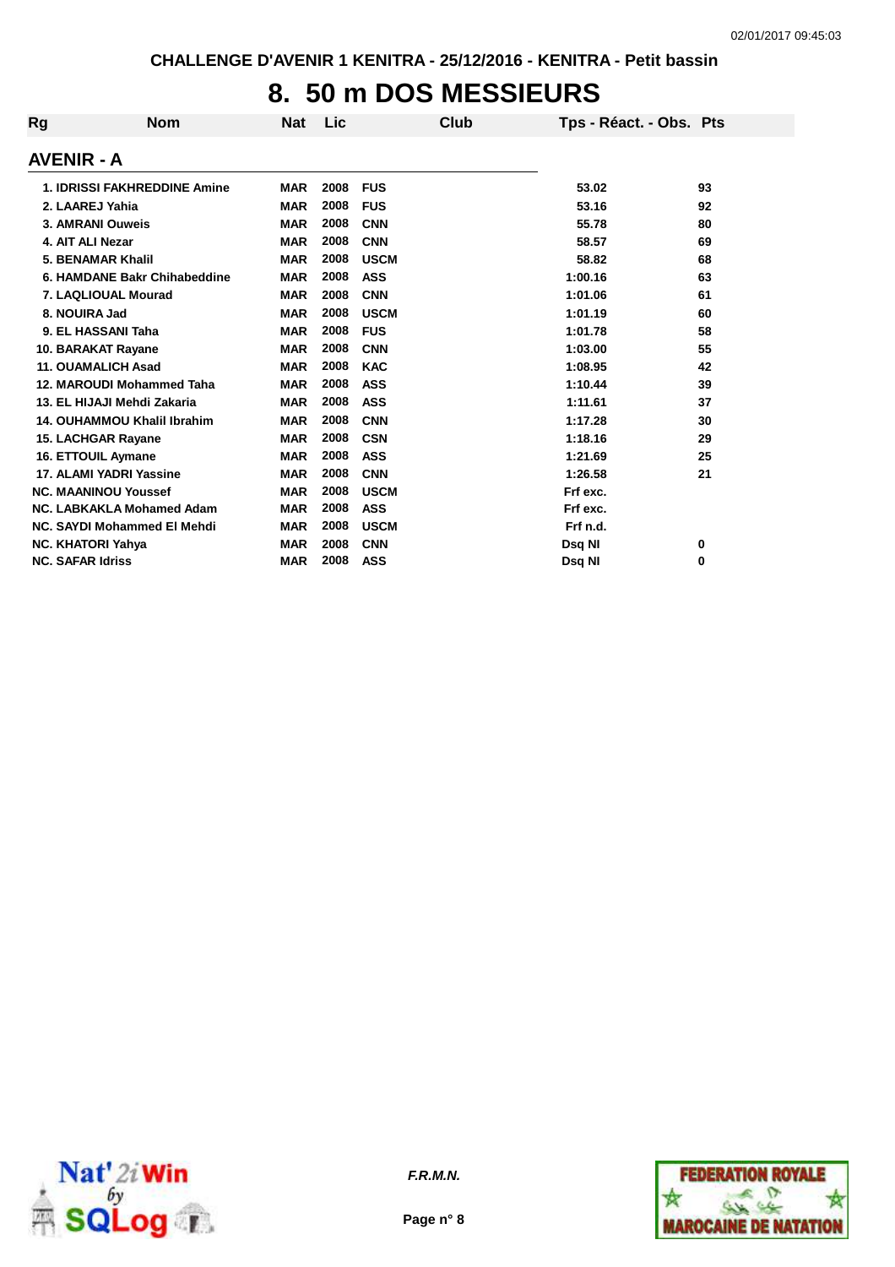## **8. 50 m DOS MESSIEURS**

| Rg                       | <b>Nom</b>                          | <b>Nat</b> | Lic  | Club        | Tps - Réact. - Obs. Pts |    |
|--------------------------|-------------------------------------|------------|------|-------------|-------------------------|----|
| <b>AVENIR - A</b>        |                                     |            |      |             |                         |    |
|                          | <b>1. IDRISSI FAKHREDDINE Amine</b> | <b>MAR</b> | 2008 | <b>FUS</b>  | 53.02                   | 93 |
|                          | 2. LAAREJ Yahia                     | <b>MAR</b> | 2008 | <b>FUS</b>  | 53.16                   | 92 |
|                          | 3. AMRANI Ouweis                    | <b>MAR</b> | 2008 | <b>CNN</b>  | 55.78                   | 80 |
| 4. AIT ALI Nezar         |                                     | <b>MAR</b> | 2008 | <b>CNN</b>  | 58.57                   | 69 |
|                          | 5. BENAMAR Khalil                   | <b>MAR</b> | 2008 | <b>USCM</b> | 58.82                   | 68 |
|                          | 6. HAMDANE Bakr Chihabeddine        | <b>MAR</b> | 2008 | <b>ASS</b>  | 1:00.16                 | 63 |
|                          | 7. LAQLIOUAL Mourad                 | <b>MAR</b> | 2008 | <b>CNN</b>  | 1:01.06                 | 61 |
| 8. NOUIRA Jad            |                                     | <b>MAR</b> | 2008 | <b>USCM</b> | 1:01.19                 | 60 |
|                          | 9. EL HASSANI Taha                  | <b>MAR</b> | 2008 | <b>FUS</b>  | 1:01.78                 | 58 |
|                          | 10. BARAKAT Rayane                  | <b>MAR</b> | 2008 | <b>CNN</b>  | 1:03.00                 | 55 |
|                          | <b>11. OUAMALICH Asad</b>           | <b>MAR</b> | 2008 | <b>KAC</b>  | 1:08.95                 | 42 |
|                          | 12. MAROUDI Mohammed Taha           | <b>MAR</b> | 2008 | <b>ASS</b>  | 1:10.44                 | 39 |
|                          | 13. EL HIJAJI Mehdi Zakaria         | <b>MAR</b> | 2008 | <b>ASS</b>  | 1:11.61                 | 37 |
|                          | 14. OUHAMMOU Khalil Ibrahim         | <b>MAR</b> | 2008 | <b>CNN</b>  | 1:17.28                 | 30 |
|                          | <b>15. LACHGAR Rayane</b>           | <b>MAR</b> | 2008 | <b>CSN</b>  | 1:18.16                 | 29 |
|                          | <b>16. ETTOUIL Aymane</b>           | <b>MAR</b> | 2008 | <b>ASS</b>  | 1:21.69                 | 25 |
|                          | 17. ALAMI YADRI Yassine             | <b>MAR</b> | 2008 | <b>CNN</b>  | 1:26.58                 | 21 |
|                          | <b>NC. MAANINOU Youssef</b>         | <b>MAR</b> | 2008 | <b>USCM</b> | Frf exc.                |    |
|                          | NC. LABKAKLA Mohamed Adam           | <b>MAR</b> | 2008 | <b>ASS</b>  | Frf exc.                |    |
|                          | NC. SAYDI Mohammed El Mehdi         | <b>MAR</b> | 2008 | <b>USCM</b> | Frf n.d.                |    |
| <b>NC. KHATORI Yahya</b> |                                     | <b>MAR</b> | 2008 | <b>CNN</b>  | Dsq NI                  | 0  |
| <b>NC. SAFAR Idriss</b>  |                                     | <b>MAR</b> | 2008 | <b>ASS</b>  | Dsg NI                  | 0  |



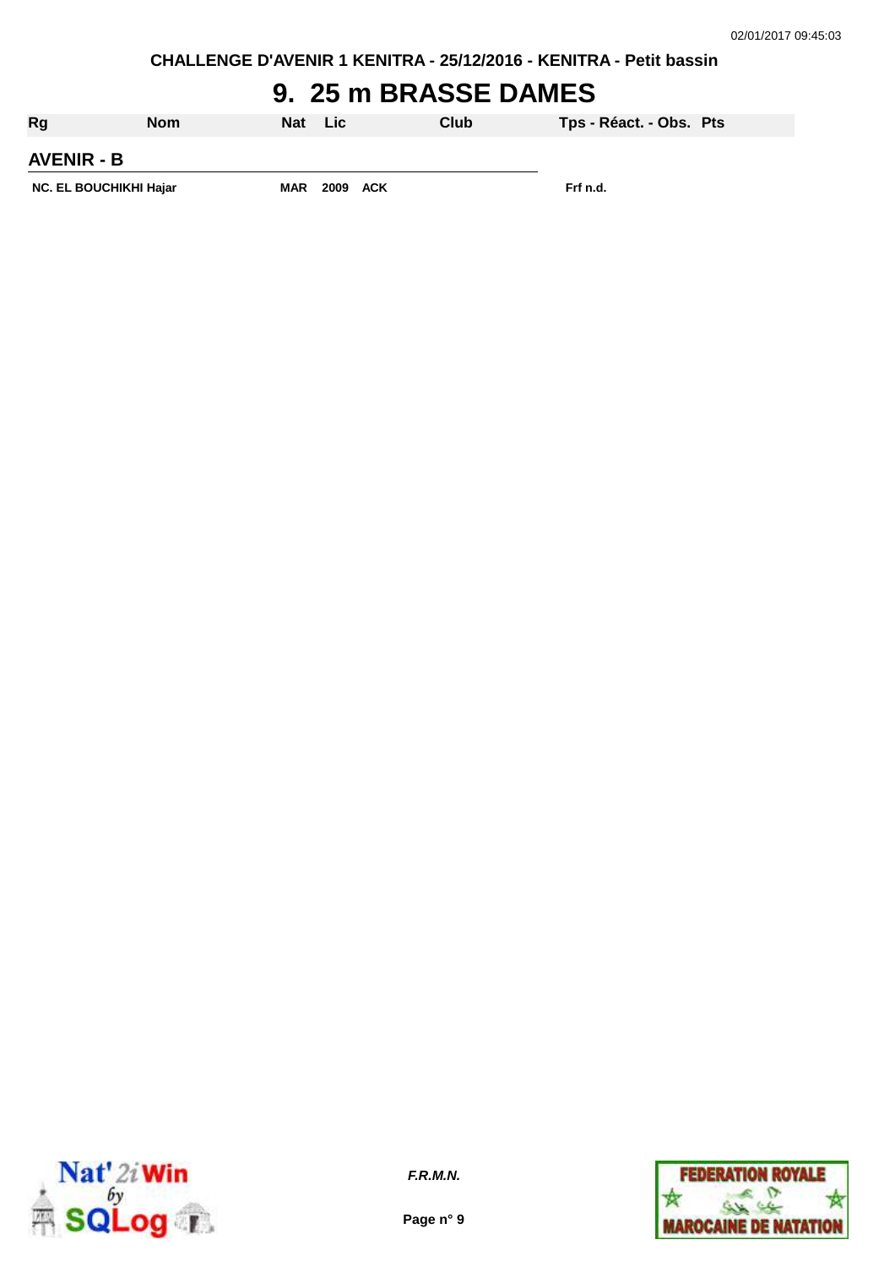**CHALLENGE D'AVENIR 1 KENITRA - 25/12/2016 - KENITRA - Petit bassin**

## **9. 25 m BRASSE DAMES**

| Rg                            | <b>Nom</b> | <b>Nat</b> | Lic. | Club     | Tps - Réact. - Obs. Pts |  |
|-------------------------------|------------|------------|------|----------|-------------------------|--|
| <b>AVENIR - B</b>             |            |            |      |          |                         |  |
| <b>NC. EL BOUCHIKHI Hajar</b> | <b>MAR</b> | 2009 ACK   |      | Frf n.d. |                         |  |



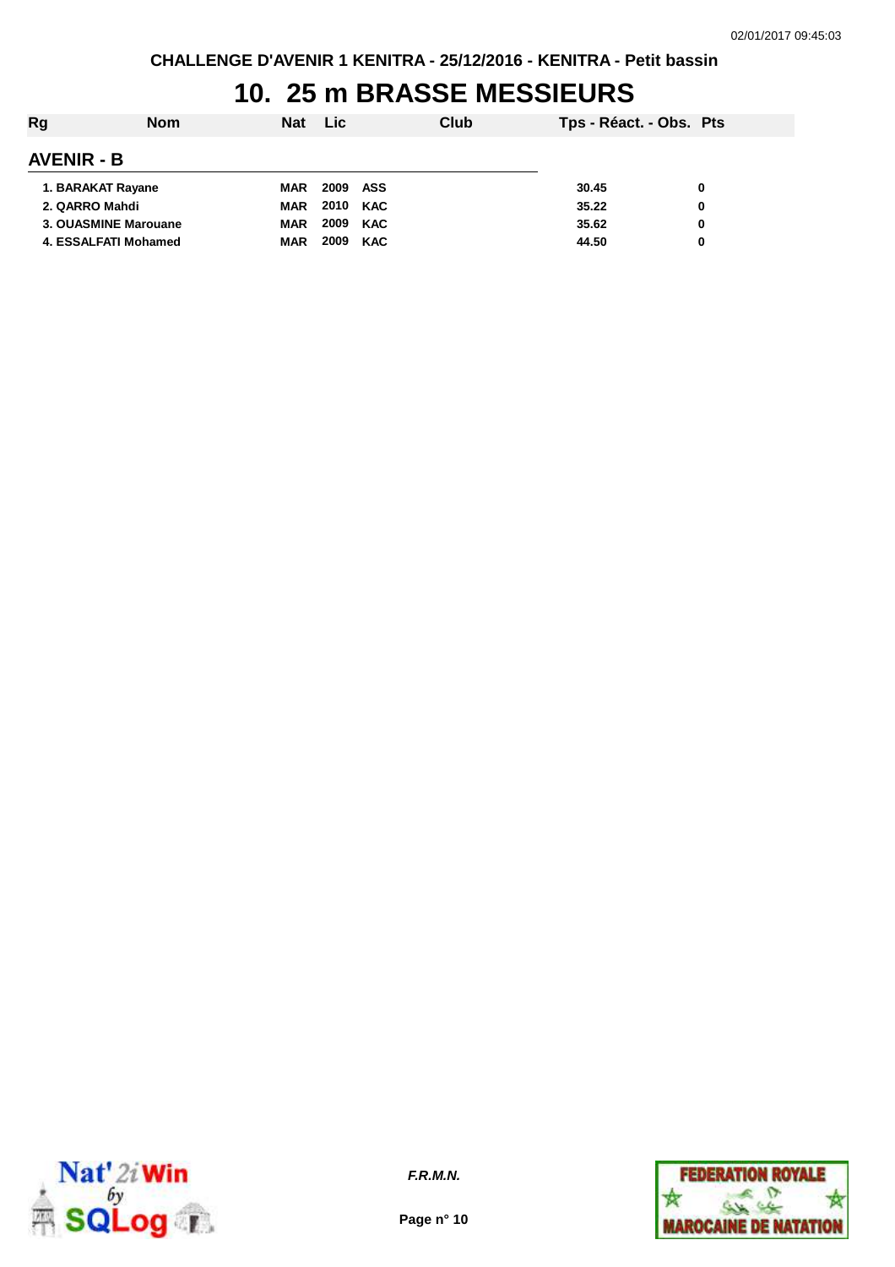## **10. 25 m BRASSE MESSIEURS**

| Rg                   | <b>Nom</b> | <b>Nat</b> | <b>Lic</b> |            | Club | Tps - Réact. - Obs. Pts |   |
|----------------------|------------|------------|------------|------------|------|-------------------------|---|
| <b>AVENIR - B</b>    |            |            |            |            |      |                         |   |
| 1. BARAKAT Rayane    |            | <b>MAR</b> | 2009       | ASS        |      | 30.45                   | 0 |
| 2. QARRO Mahdi       |            | <b>MAR</b> | 2010       | KAC        |      | 35.22                   | 0 |
| 3. OUASMINE Marouane |            | <b>MAR</b> | 2009       | <b>KAC</b> |      | 35.62                   | 0 |
| 4. ESSALFATI Mohamed |            | <b>MAR</b> | 2009       | <b>KAC</b> |      | 44.50                   | 0 |



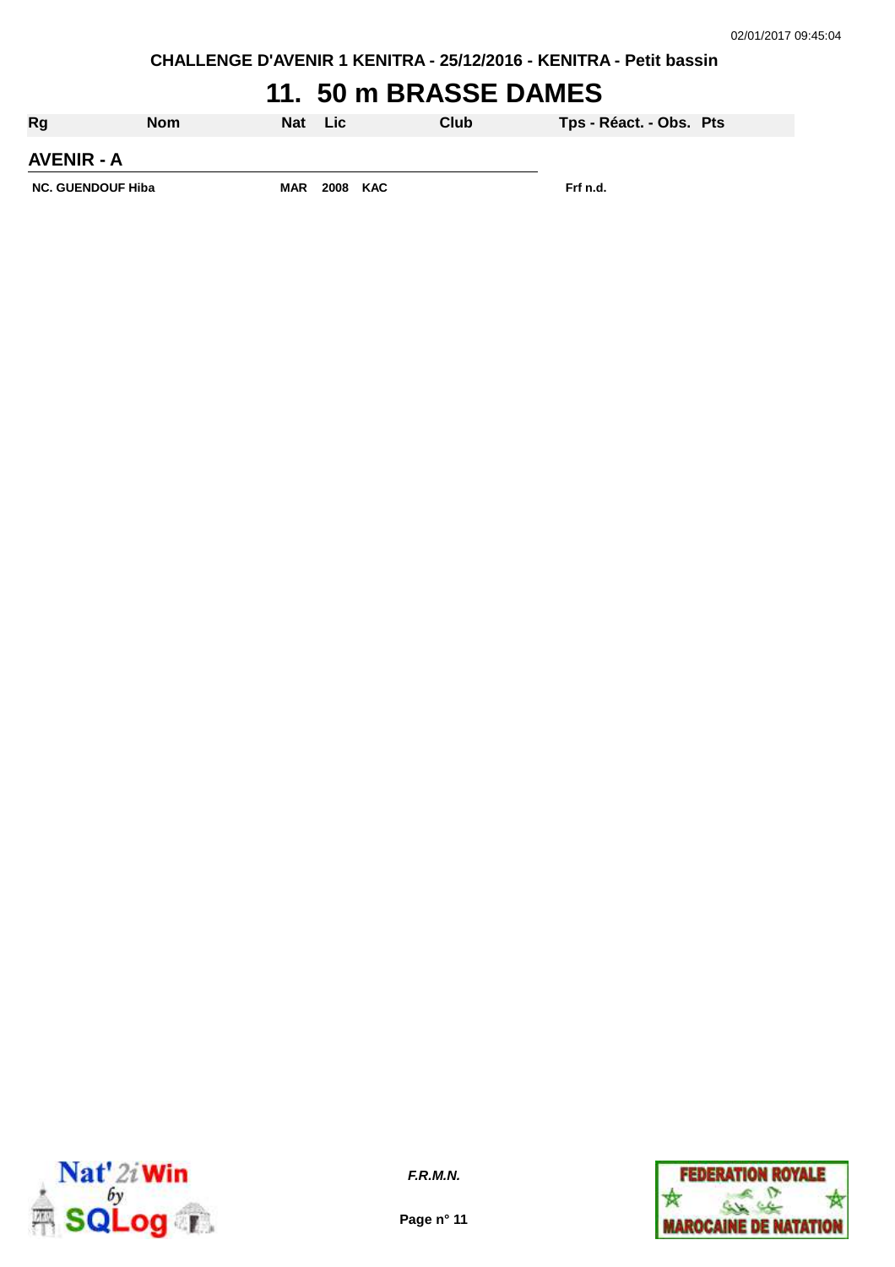**CHALLENGE D'AVENIR 1 KENITRA - 25/12/2016 - KENITRA - Petit bassin**

# **11. 50 m BRASSE DAMES**

| Rg                       | <b>Nom</b> | <b>Nat</b> | Lic.     | Club | Tps - Réact. - Obs. Pts |  |
|--------------------------|------------|------------|----------|------|-------------------------|--|
| <b>AVENIR - A</b>        |            |            |          |      |                         |  |
| <b>NC. GUENDOUF Hiba</b> |            | <b>MAR</b> | 2008 KAC |      | Frf n.d.                |  |



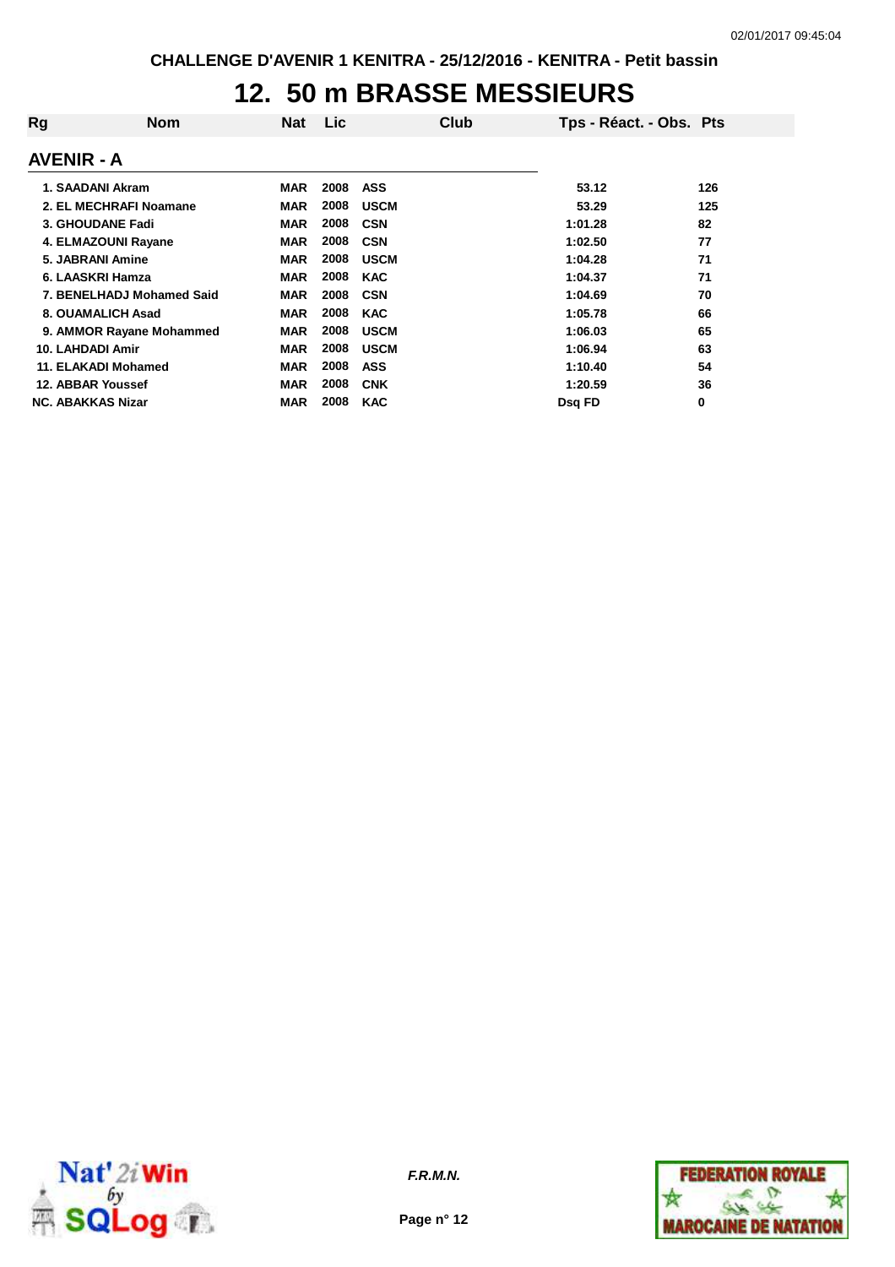## **12. 50 m BRASSE MESSIEURS**

| Rg<br>Nom                 | <b>Nat</b> | Lic  | Club        | Tps - Réact. - Obs. Pts |     |
|---------------------------|------------|------|-------------|-------------------------|-----|
| <b>AVENIR - A</b>         |            |      |             |                         |     |
| 1. SAADANI Akram          | <b>MAR</b> | 2008 | <b>ASS</b>  | 53.12                   | 126 |
| 2. EL MECHRAFI Noamane    | <b>MAR</b> | 2008 | <b>USCM</b> | 53.29                   | 125 |
| 3. GHOUDANE Fadi          | <b>MAR</b> | 2008 | <b>CSN</b>  | 1:01.28                 | 82  |
| 4. ELMAZOUNI Rayane       | <b>MAR</b> | 2008 | <b>CSN</b>  | 1:02.50                 | 77  |
| 5. JABRANI Amine          | <b>MAR</b> | 2008 | <b>USCM</b> | 1:04.28                 | 71  |
| 6. LAASKRI Hamza          | <b>MAR</b> | 2008 | <b>KAC</b>  | 1:04.37                 | 71  |
| 7. BENELHADJ Mohamed Said | <b>MAR</b> | 2008 | <b>CSN</b>  | 1:04.69                 | 70  |
| 8. OUAMALICH Asad         | <b>MAR</b> | 2008 | <b>KAC</b>  | 1:05.78                 | 66  |
| 9. AMMOR Rayane Mohammed  | <b>MAR</b> | 2008 | <b>USCM</b> | 1:06.03                 | 65  |
| <b>10. LAHDADI Amir</b>   | <b>MAR</b> | 2008 | <b>USCM</b> | 1:06.94                 | 63  |
| 11. ELAKADI Mohamed       | <b>MAR</b> | 2008 | <b>ASS</b>  | 1:10.40                 | 54  |
| 12. ABBAR Youssef         | <b>MAR</b> | 2008 | <b>CNK</b>  | 1:20.59                 | 36  |
| <b>NC. ABAKKAS Nizar</b>  | <b>MAR</b> | 2008 | <b>KAC</b>  | Dsg FD                  | 0   |



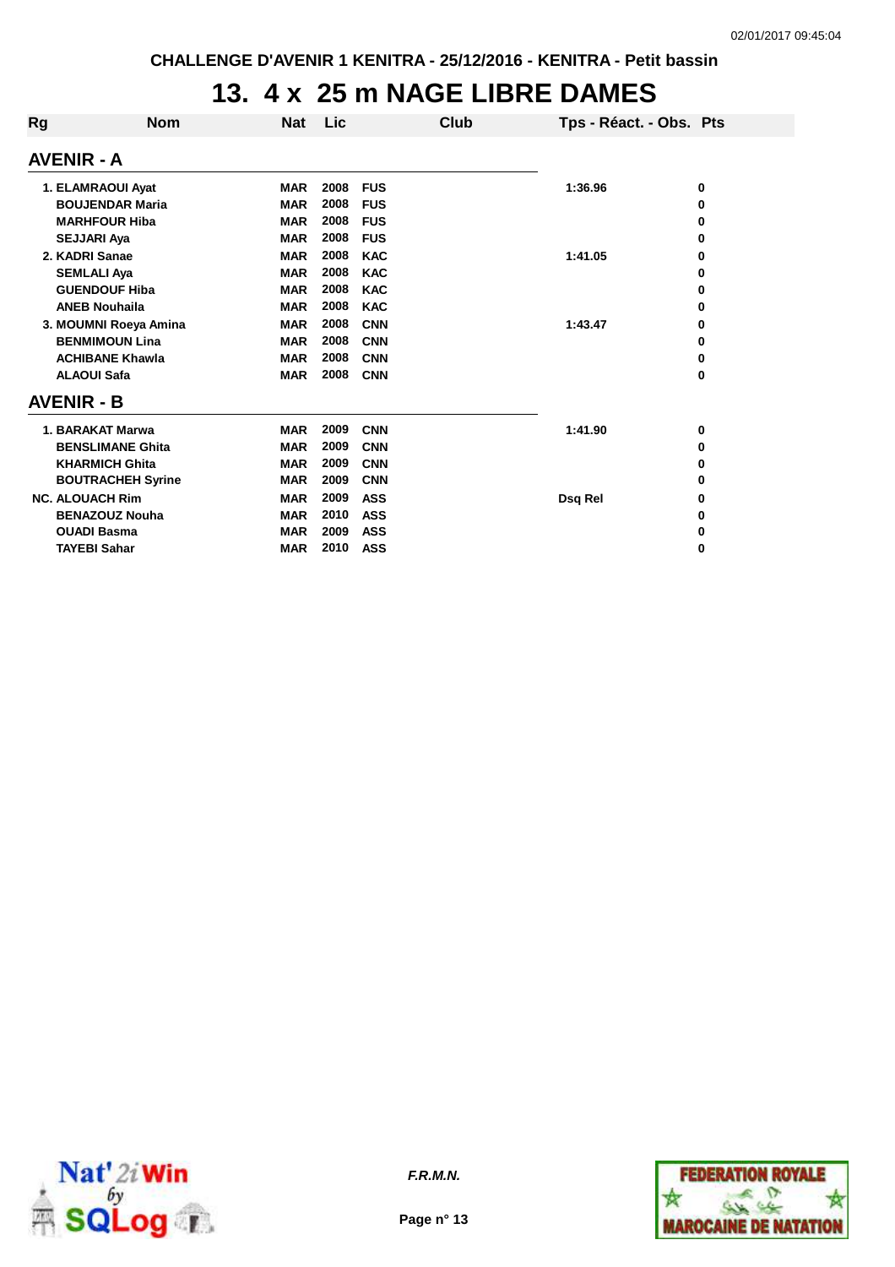## **13. 4 x 25 m NAGE LIBRE DAMES**

| Rg | <b>Nom</b>               | <b>Nat</b> | Lic  | Club       | Tps - Réact. - Obs. Pts |   |
|----|--------------------------|------------|------|------------|-------------------------|---|
|    | <b>AVENIR - A</b>        |            |      |            |                         |   |
|    | 1. ELAMRAOUI Ayat        | <b>MAR</b> | 2008 | <b>FUS</b> | 1:36.96                 | 0 |
|    | <b>BOUJENDAR Maria</b>   | <b>MAR</b> | 2008 | <b>FUS</b> |                         | 0 |
|    | <b>MARHFOUR Hiba</b>     | <b>MAR</b> | 2008 | <b>FUS</b> |                         | 0 |
|    | <b>SEJJARI Aya</b>       | <b>MAR</b> | 2008 | <b>FUS</b> |                         | 0 |
|    | 2. KADRI Sanae           | <b>MAR</b> | 2008 | <b>KAC</b> | 1:41.05                 | 0 |
|    | <b>SEMLALI Aya</b>       | <b>MAR</b> | 2008 | <b>KAC</b> |                         | 0 |
|    | <b>GUENDOUF Hiba</b>     | <b>MAR</b> | 2008 | <b>KAC</b> |                         | 0 |
|    | <b>ANEB Nouhaila</b>     | <b>MAR</b> | 2008 | <b>KAC</b> |                         | 0 |
|    | 3. MOUMNI Roeya Amina    | <b>MAR</b> | 2008 | <b>CNN</b> | 1:43.47                 | 0 |
|    | <b>BENMIMOUN Lina</b>    | <b>MAR</b> | 2008 | <b>CNN</b> |                         | 0 |
|    | <b>ACHIBANE Khawla</b>   | <b>MAR</b> | 2008 | <b>CNN</b> |                         | 0 |
|    | <b>ALAOUI Safa</b>       | <b>MAR</b> | 2008 | <b>CNN</b> |                         | 0 |
|    | <b>AVENIR - B</b>        |            |      |            |                         |   |
|    | 1. BARAKAT Marwa         | <b>MAR</b> | 2009 | <b>CNN</b> | 1:41.90                 | 0 |
|    | <b>BENSLIMANE Ghita</b>  | <b>MAR</b> | 2009 | <b>CNN</b> |                         | 0 |
|    | <b>KHARMICH Ghita</b>    | <b>MAR</b> | 2009 | <b>CNN</b> |                         | 0 |
|    | <b>BOUTRACHEH Syrine</b> | <b>MAR</b> | 2009 | <b>CNN</b> |                         | 0 |
|    | <b>NC. ALOUACH Rim</b>   | <b>MAR</b> | 2009 | <b>ASS</b> | Dsq Rel                 | 0 |
|    | <b>BENAZOUZ Nouha</b>    | <b>MAR</b> | 2010 | <b>ASS</b> |                         | 0 |
|    | <b>OUADI Basma</b>       | <b>MAR</b> | 2009 | <b>ASS</b> |                         | 0 |
|    | <b>TAYEBI Sahar</b>      | <b>MAR</b> | 2010 | <b>ASS</b> |                         | 0 |